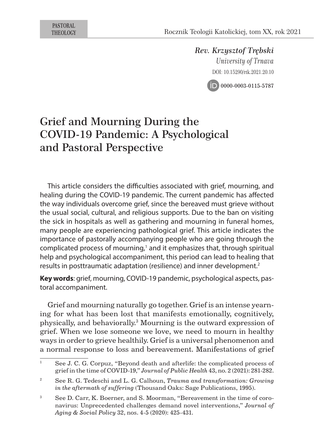*Rev. Krzysztof Trębski University of Trnava* DOI: 10.15290/rtk.2021.20.10



# Grief and Mourning During the COVID-19 Pandemic: A Psychological and Pastoral Perspective

This article considers the difficulties associated with grief, mourning, and healing during the COVID-19 pandemic. The current pandemic has affected the way individuals overcome grief, since the bereaved must grieve without the usual social, cultural, and religious supports. Due to the ban on visiting the sick in hospitals as well as gathering and mourning in funeral homes, many people are experiencing pathological grief. This article indicates the importance of pastorally accompanying people who are going through the complicated process of mourning,<sup>1</sup> and it emphasizes that, through spiritual help and psychological accompaniment, this period can lead to healing that results in posttraumatic adaptation (resilience) and inner development.<sup>2</sup>

**Key words**: grief, mourning, COVID-19 pandemic, psychological aspects, pastoral accompaniment.

Grief and mourning naturally go together. Grief is an intense yearning for what has been lost that manifests emotionally, cognitively, physically, and behaviorally.<sup>3</sup> Mourning is the outward expression of grief. When we lose someone we love, we need to mourn in healthy ways in order to grieve healthily. Grief is a universal phenomenon and a normal response to loss and bereavement. Manifestations of grief

<sup>&</sup>lt;sup>1</sup> See J. C. G. Corpuz, "Beyond death and afterlife: the complicated process of grief in the time of COVID-19," *Journal of Public Health* 43, no. 2 (2021): 281-282.

<sup>2</sup> See R. G. Tedeschi and L. G. Calhoun, *Trauma and transformation: Growing in the aftermath of suffering* (Thousand Oaks: Sage Publications, 1995).

<sup>3</sup> See D. Carr, K. Boerner, and S. Moorman, "Bereavement in the time of coronavirus: Unprecedented challenges demand novel interventions," *Journal of Aging & Social Policy* 32, nos. 4-5 (2020): 425-431.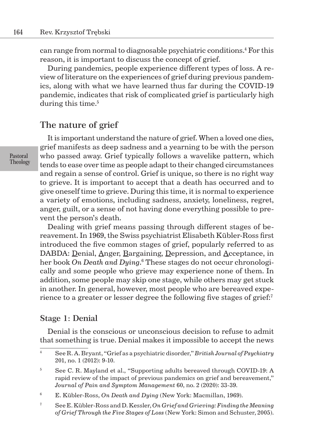can range from normal to diagnosable psychiatric conditions.<sup>4</sup> For this reason, it is important to discuss the concept of grief.

During pandemics, people experience different types of loss. A review of literature on the experiences of grief during previous pandemics, along with what we have learned thus far during the COVID-19 pandemic, indicates that risk of complicated grief is particularly high during this time.<sup>5</sup>

### The nature of grief

It is important understand the nature of grief. When a loved one dies, grief manifests as deep sadness and a yearning to be with the person who passed away. Grief typically follows a wavelike pattern, which tends to ease over time as people adapt to their changed circumstances and regain a sense of control. Grief is unique, so there is no right way to grieve. It is important to accept that a death has occurred and to give oneself time to grieve. During this time, it is normal to experience a variety of emotions, including sadness, anxiety, loneliness, regret, anger, guilt, or a sense of not having done everything possible to prevent the person's death.

Dealing with grief means passing through different stages of bereavement. In 1969, the Swiss psychiatrist Elisabeth Kübler-Ross first introduced the five common stages of grief, popularly referred to as DABDA: Denial, Anger, Bargaining, Depression, and Acceptance, in her book *On Death and Dying*. 6 These stages do not occur chronologically and some people who grieve may experience none of them. In addition, some people may skip one stage, while others may get stuck in another. In general, however, most people who are bereaved experience to a greater or lesser degree the following five stages of grief:<sup>7</sup>

#### Stage 1: Denial

Denial is the conscious or unconscious decision to refuse to admit that something is true. Denial makes it impossible to accept the news

<sup>4</sup> See R. A. Bryant, "Grief as a psychiatric disorder," *British Journal of Psychiatry* 201, no. 1 (2012): 9-10.

<sup>&</sup>lt;sup>5</sup> See C. R. Mayland et al., "Supporting adults bereaved through COVID-19: A rapid review of the impact of previous pandemics on grief and bereavement," *Journal of Pain and Symptom Management* 60, no. 2 (2020): 33-39.

<sup>6</sup> E. Kübler-Ross, *On Death and Dying* (New York: Macmillan, 1969).

<sup>7</sup> See E. Kübler-Ross and D. Kessler, *On Grief and Grieving: Finding the Meaning of Grief Through the Five Stages of Loss* (New York: Simon and Schuster, 2005).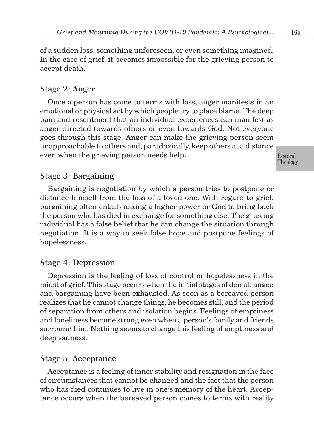of a sudden loss, something unforeseen, or even something imagined. In the case of grief, it becomes impossible for the grieving person to accept death.

#### Stage 2: Anger

Once a person has come to terms with loss, anger manifests in an emotional or physical act by which people try to place blame. The deep pain and resentment that an individual experiences can manifest as anger directed towards others or even towards God. Not everyone goes through this stage. Anger can make the grieving person seem unapproachable to others and, paradoxically, keep others at a distance even when the grieving person needs help.

#### Stage 3: Bargaining

Bargaining is negotiation by which a person tries to postpone or distance himself from the loss of a loved one. With regard to grief, bargaining often entails asking a higher power or God to bring back the person who has died in exchange for something else. The grieving individual has a false belief that he can change the situation through negotiation. It is a way to seek false hope and postpone feelings of hopelessness.

#### Stage 4: Depression

Depression is the feeling of loss of control or hopelessness in the midst of grief. This stage occurs when the initial stages of denial, anger, and bargaining have been exhausted. As soon as a bereaved person realizes that he cannot change things, he becomes still, and the period of separation from others and isolation begins. Feelings of emptiness and loneliness become strong even when a person's family and friends surround him. Nothing seems to change this feeling of emptiness and deep sadness.

#### Stage 5: Acceptance

Acceptance is a feeling of inner stability and resignation in the face of circumstances that cannot be changed and the fact that the person who has died continues to live in one's memory of the heart. Acceptance occurs when the bereaved person comes to terms with reality 165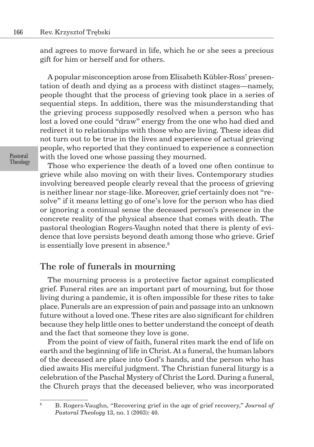and agrees to move forward in life, which he or she sees a precious gift for him or herself and for others.

A popular misconception arose from Elisabeth Kübler-Ross' presentation of death and dying as a process with distinct stages—namely, people thought that the process of grieving took place in a series of sequential steps. In addition, there was the misunderstanding that the grieving process supposedly resolved when a person who has lost a loved one could "draw" energy from the one who had died and redirect it to relationships with those who are living. These ideas did not turn out to be true in the lives and experience of actual grieving people, who reported that they continued to experience a connection with the loved one whose passing they mourned.

Those who experience the death of a loved one often continue to grieve while also moving on with their lives. Contemporary studies involving bereaved people clearly reveal that the process of grieving is neither linear nor stage-like. Moreover, grief certainly does not "resolve" if it means letting go of one's love for the person who has died or ignoring a continual sense the deceased person's presence in the concrete reality of the physical absence that comes with death. The pastoral theologian Rogers-Vaughn noted that there is plenty of evidence that love persists beyond death among those who grieve. Grief is essentially love present in absence.<sup>8</sup>

#### The role of funerals in mourning

The mourning process is a protective factor against complicated grief. Funeral rites are an important part of mourning, but for those living during a pandemic, it is often impossible for these rites to take place. Funerals are an expression of pain and passage into an unknown future without a loved one. These rites are also significant for children because they help little ones to better understand the concept of death and the fact that someone they love is gone.

From the point of view of faith, funeral rites mark the end of life on earth and the beginning of life in Christ. At a funeral, the human labors of the deceased are place into God's hands, and the person who has died awaits His merciful judgment. The Christian funeral liturgy is a celebration of the Paschal Mystery of Christ the Lord. During a funeral, the Church prays that the deceased believer, who was incorporated

<sup>8</sup> B. Rogers-Vaughn, "Recovering grief in the age of grief recovery," *Journal of Pastoral Theology* 13, no. 1 (2003): 40.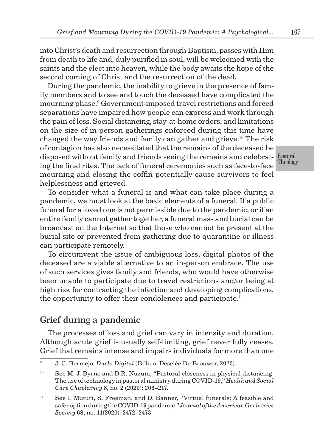into Christ's death and resurrection through Baptism, passes with Him from death to life and, duly purified in soul, will be welcomed with the saints and the elect into heaven, while the body awaits the hope of the second coming of Christ and the resurrection of the dead.

disposed without family and friends seeing the remains and celebrat- Pastoral During the pandemic, the inability to grieve in the presence of family members and to see and touch the deceased have complicated the mourning phase.<sup>9</sup> Government-imposed travel restrictions and forced separations have impaired how people can express and work through the pain of loss. Social distancing, stay-at-home orders, and limitations on the size of in-person gatherings enforced during this time have changed the way friends and family can gather and grieve.<sup>10</sup> The risk of contagion has also necessitated that the remains of the deceased be ing the final rites. The lack of funeral ceremonies such as face-to-face mourning and closing the coffin potentially cause survivors to feel helplessness and grieved.

To consider what a funeral is and what can take place during a pandemic, we must look at the basic elements of a funeral. If a public funeral for a loved one is not permissible due to the pandemic, or if an entire family cannot gather together, a funeral mass and burial can be broadcast on the Internet so that those who cannot be present at the burial site or prevented from gathering due to quarantine or illness can participate remotely.

To circumvent the issue of ambiguous loss, digital photos of the deceased are a viable alternative to an in-person embrace. The use of such services gives family and friends, who would have otherwise been unable to participate due to travel restrictions and/or being at high risk for contracting the infection and developing complications, the opportunity to offer their condolences and participate.<sup>11</sup>

# Grief during a pandemic

The processes of loss and grief can vary in intensity and duration. Although acute grief is usually self-limiting, grief never fully ceases. Grief that remains intense and impairs individuals for more than one

Theology

<sup>9</sup> J. C. Bermejo, *Duelo Digital* (Bilbao: Desclée De Brouwer, 2020).

 $10$  See M. J. Byrne and D.R. Nuzum, "Pastoral closeness in physical distancing: The use of technology in pastoral ministry during COVID-19," *Health and Social Care Chaplaincy* 8, no. 2 (2020): 206–217.

<sup>&</sup>lt;sup>11</sup> See I. Muturi, S. Freeman, and D. Banner, "Virtual funerals: A feasible and safer option during the COVID-19 pandemic," *Journal of the American Geriatrics Society* 68, no. 11(2020): 2472–2473.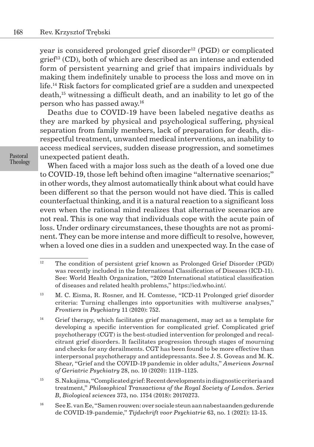year is considered prolonged grief disorder<sup>12</sup> (PGD) or complicated grief<sup>13</sup> (CD), both of which are described as an intense and extended form of persistent yearning and grief that impairs individuals by making them indefinitely unable to process the loss and move on in life.<sup>14</sup> Risk factors for complicated grief are a sudden and unexpected death,<sup>15</sup> witnessing a difficult death, and an inability to let go of the person who has passed away.<sup>16</sup>

Deaths due to COVID-19 have been labeled negative deaths as they are marked by physical and psychological suffering, physical separation from family members, lack of preparation for death, disrespectful treatment, unwanted medical interventions, an inability to access medical services, sudden disease progression, and sometimes unexpected patient death.

Pastoral Theology

When faced with a major loss such as the death of a loved one due to COVID-19, those left behind often imagine "alternative scenarios;" in other words, they almost automatically think about what could have been different so that the person would not have died. This is called counterfactual thinking, and it is a natural reaction to a significant loss even when the rational mind realizes that alternative scenarios are not real. This is one way that individuals cope with the acute pain of loss. Under ordinary circumstances, these thoughts are not as prominent. They can be more intense and more difficult to resolve, however, when a loved one dies in a sudden and unexpected way. In the case of

<sup>&</sup>lt;sup>12</sup> The condition of persistent grief known as Prolonged Grief Disorder (PGD) was recently included in the International Classification of Diseases (ICD-11). See: World Health Organization, "2020 International statistical classification of diseases and related health problems," https://icd.who.int/.

<sup>&</sup>lt;sup>13</sup> M. C. Eisma, R. Rosner, and H. Comtesse, "ICD-11 Prolonged grief disorder criteria: Turning challenges into opportunities with multiverse analyses," *Frontiers in Psychiatry* 11 (2020): 752.

 $14$  Grief therapy, which facilitates grief management, may act as a template for developing a specific intervention for complicated grief. Complicated grief psychotherapy (CGT) is the best-studied intervention for prolonged and recalcitrant grief disorders. It facilitates progression through stages of mourning and checks for any derailments. CGT has been found to be more effective than interpersonal psychotherapy and antidepressants. See J. S. Goveas and M. K. Shear, "Grief and the COVID-19 pandemic in older adults," *American Journal of Geriatric Psychiatry* 28, no. 10 (2020): 1119–1125.

<sup>15</sup> S. Nakajima, "Complicated grief: Recent developments in diagnostic criteria and treatment," *Philosophical Transactions of the Royal Society of London. Series B, Biological sciences* 373, no. 1754 (2018): 20170273.

<sup>16</sup> See E. van Ee, "Samen rouwen: over sociale steun aan nabestaanden gedurende de COVID-19-pandemie," *Tijdschrift voor Psychiatrie* 63, no. 1 (2021): 13-15.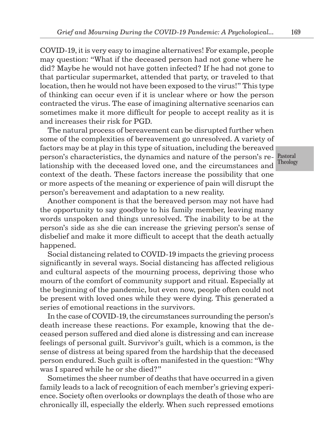COVID-19, it is very easy to imagine alternatives! For example, people may question: "What if the deceased person had not gone where he did? Maybe he would not have gotten infected? If he had not gone to that particular supermarket, attended that party, or traveled to that location, then he would not have been exposed to the virus!" This type of thinking can occur even if it is unclear where or how the person contracted the virus. The ease of imagining alternative scenarios can sometimes make it more difficult for people to accept reality as it is and increases their risk for PGD.

person's characteristics, the dynamics and nature of the person's re- Pastoral The natural process of bereavement can be disrupted further when some of the complexities of bereavement go unresolved. A variety of factors may be at play in this type of situation, including the bereaved lationship with the deceased loved one, and the circumstances and context of the death. These factors increase the possibility that one or more aspects of the meaning or experience of pain will disrupt the person's bereavement and adaptation to a new reality.

Another component is that the bereaved person may not have had the opportunity to say goodbye to his family member, leaving many words unspoken and things unresolved. The inability to be at the person's side as she die can increase the grieving person's sense of disbelief and make it more difficult to accept that the death actually happened.

Social distancing related to COVID-19 impacts the grieving process significantly in several ways. Social distancing has affected religious and cultural aspects of the mourning process, depriving those who mourn of the comfort of community support and ritual. Especially at the beginning of the pandemic, but even now, people often could not be present with loved ones while they were dying. This generated a series of emotional reactions in the survivors.

In the case of COVID-19, the circumstances surrounding the person's death increase these reactions. For example, knowing that the deceased person suffered and died alone is distressing and can increase feelings of personal guilt. Survivor's guilt, which is a common, is the sense of distress at being spared from the hardship that the deceased person endured. Such guilt is often manifested in the question: "Why was I spared while he or she died?"

Sometimes the sheer number of deaths that have occurred in a given family leads to a lack of recognition of each member's grieving experience. Society often overlooks or downplays the death of those who are chronically ill, especially the elderly. When such repressed emotions

Theology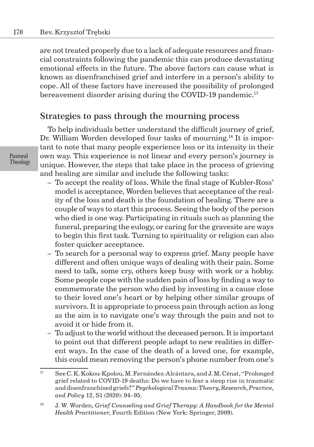are not treated properly due to a lack of adequate resources and financial constraints following the pandemic this can produce devastating emotional effects in the future. The above factors can cause what is known as disenfranchised grief and interfere in a person's ability to cope. All of these factors have increased the possibility of prolonged bereavement disorder arising during the COVID-19 pandemic.<sup>17</sup>

## Strategies to pass through the mourning process

To help individuals better understand the difficult journey of grief, Dr. William Worden developed four tasks of mourning.<sup>18</sup> It is important to note that many people experience loss or its intensity in their own way. This experience is not linear and every person's journey is unique. However, the steps that take place in the process of grieving and healing are similar and include the following tasks:

- To accept the reality of loss. While the final stage of Kubler-Ross' model is acceptance, Worden believes that acceptance of the reality of the loss and death is the foundation of healing. There are a couple of ways to start this process. Seeing the body of the person who died is one way. Participating in rituals such as planning the funeral, preparing the eulogy, or caring for the gravesite are ways to begin this first task. Turning to spirituality or religion can also foster quicker acceptance.
- To search for a personal way to express grief. Many people have different and often unique ways of dealing with their pain. Some need to talk, some cry, others keep busy with work or a hobby. Some people cope with the sudden pain of loss by finding a way to commemorate the person who died by investing in a cause close to their loved one's heart or by helping other similar groups of survivors. It is appropriate to process pain through action as long as the aim is to navigate one's way through the pain and not to avoid it or hide from it.
- To adjust to the world without the deceased person. It is important to point out that different people adapt to new realities in different ways. In the case of the death of a loved one, for example, this could mean removing the person's phone number from one's

<sup>17</sup> See C. K. Kokou-Kpolou, M. Fernández-Alcántara, and J. M. Cénat, "Prolonged grief related to COVID-19 deaths: Do we have to fear a steep rise in traumatic and disenfranchised griefs?" *Psychological Trauma: Theory, Research, Practice, and Policy* 12, S1 (2020): 94–95.

<sup>18</sup> J. W. Worden, *Grief Counseling and Grief Therapy: A Handbook for the Mental Health Practitioner*, Fourth Edition (New York: Springer, 2009).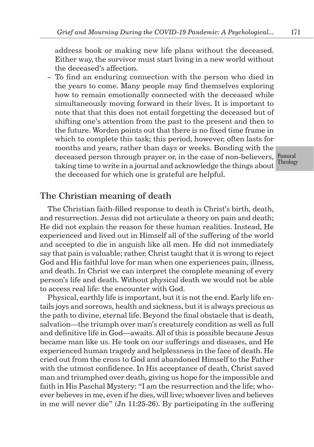address book or making new life plans without the deceased. Either way, the survivor must start living in a new world without the deceased's affection.

– To find an enduring connection with the person who died in the years to come. Many people may find themselves exploring how to remain emotionally connected with the deceased while simultaneously moving forward in their lives. It is important to note that that this does not entail forgetting the deceased but of shifting one's attention from the past to the present and then to the future. Worden points out that there is no fixed time frame in which to complete this task; this period, however, often lasts for months and years, rather than days or weeks. Bonding with the deceased person through prayer or, in the case of non-believers, taking time to write in a journal and acknowledge the things about the deceased for which one is grateful are helpful.

#### The Christian meaning of death

The Christian faith-filled response to death is Christ's birth, death, and resurrection. Jesus did not articulate a theory on pain and death; He did not explain the reason for these human realities. Instead, He experienced and lived out in Himself all of the suffering of the world and accepted to die in anguish like all men. He did not immediately say that pain is valuable; rather, Christ taught that it is wrong to reject God and His faithful love for man when one experiences pain, illness, and death. In Christ we can interpret the complete meaning of every person's life and death. Without physical death we would not be able to access real life: the encounter with God.

Physical, earthly life is important, but it is not the end. Early life entails joys and sorrows, health and sickness, but it is always precious as the path to divine, eternal life. Beyond the final obstacle that is death, salvation—the triumph over man's creaturely condition as well as full and definitive life in God—awaits. All of this is possible because Jesus became man like us. He took on our sufferings and diseases, and He experienced human tragedy and helplessness in the face of death. He cried out from the cross to God and abandoned Himself to the Father with the utmost confidence. In His acceptance of death, Christ saved man and triumphed over death, giving us hope for the impossible and faith in His Paschal Mystery: "I am the resurrection and the life; whoever believes in me, even if he dies, will live; whoever lives and believes in me will never die" (Jn 11:25-26). By participating in the suffering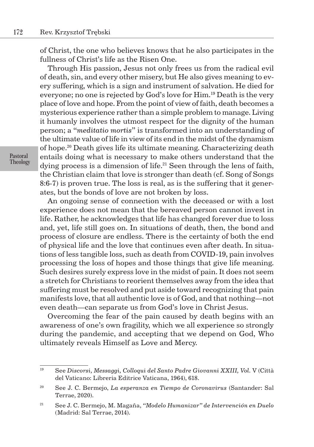of Christ, the one who believes knows that he also participates in the fullness of Christ's life as the Risen One.

Through His passion, Jesus not only frees us from the radical evil of death, sin, and every other misery, but He also gives meaning to every suffering, which is a sign and instrument of salvation. He died for everyone; no one is rejected by God's love for Him.19 Death is the very place of love and hope. From the point of view of faith, death becomes a mysterious experience rather than a simple problem to manage. Living it humanly involves the utmost respect for the dignity of the human person; a "*meditatio mortis*" is transformed into an understanding of the ultimate value of life in view of its end in the midst of the dynamism of hope.<sup>20</sup> Death gives life its ultimate meaning. Characterizing death entails doing what is necessary to make others understand that the dying process is a dimension of life.<sup>21</sup> Seen through the lens of faith, the Christian claim that love is stronger than death (cf. Song of Songs 8:6-7) is proven true. The loss is real, as is the suffering that it generates, but the bonds of love are not broken by loss.

An ongoing sense of connection with the deceased or with a lost experience does not mean that the bereaved person cannot invest in life. Rather, he acknowledges that life has changed forever due to loss and, yet, life still goes on. In situations of death, then, the bond and process of closure are endless. There is the certainty of both the end of physical life and the love that continues even after death. In situations of less tangible loss, such as death from COVID-19, pain involves processing the loss of hopes and those things that give life meaning. Such desires surely express love in the midst of pain. It does not seem a stretch for Christians to reorient themselves away from the idea that suffering must be resolved and put aside toward recognizing that pain manifests love, that all authentic love is of God, and that nothing—not even death—can separate us from God's love in Christ Jesus.

Overcoming the fear of the pain caused by death begins with an awareness of one's own fragility, which we all experience so strongly during the pandemic, and accepting that we depend on God, Who ultimately reveals Himself as Love and Mercy.

<sup>19</sup> See *Discorsi, Messaggi, Colloqui del Santo Padre Giovanni XXIII, Vol.* V (Città del Vaticano: Libreria Editrice Vaticana, 1964), 618.

<sup>20</sup> See J. C. Bermejo, *La esperanza en Tiempo de Coronavirus* (Santander: Sal Terrae, 2020).

<sup>21</sup> See J. C. Bermejo, M. Magaña, *"Modelo Humanizar" de Intervención en Duelo* (Madrid: Sal Terrae, 2014).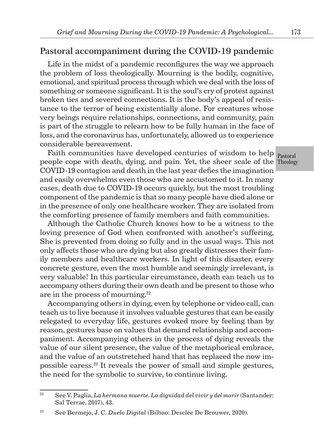## Pastoral accompaniment during the COVID-19 pandemic

Life in the midst of a pandemic reconfigures the way we approach the problem of loss theologically. Mourning is the bodily, cognitive, emotional, and spiritual process through which we deal with the loss of something or someone significant. It is the soul's cry of protest against broken ties and severed connections. It is the body's appeal of resistance to the terror of being existentially alone. For creatures whose very beings require relationships, connections, and community, pain is part of the struggle to relearn how to be fully human in the face of loss, and the coronavirus has, unfortunately, allowed us to experience considerable bereavement.

people cope with death, dying, and pain. Yet, the sheer scale of the Theology Faith communities have developed centuries of wisdom to help COVID-19 contagion and death in the last year defies the imagination and easily overwhelms even those who are accustomed to it. In many cases, death due to COVID-19 occurs quickly, but the most troubling component of the pandemic is that so many people have died alone or in the presence of only one healthcare worker. They are isolated from the comforting presence of family members and faith communities.

Although the Catholic Church knows how to be a witness to the loving presence of God when confronted with another's suffering, She is prevented from doing so fully and in the usual ways. This not only affects those who are dying but also greatly distresses their family members and healthcare workers. In light of this disaster, every concrete gesture, even the most humble and seemingly irrelevant, is very valuable! In this particular circumstance, death can teach us to accompany others during their own death and be present to those who are in the process of mourning.<sup>22</sup>

Accompanying others in dying, even by telephone or video call, can teach us to live because it involves valuable gestures that can be easily relegated to everyday life, gestures evoked more by feeling than by reason, gestures base on values that demand relationship and accompaniment. Accompanying others in the process of dying reveals the value of our silent presence, the value of the metaphorical embrace, and the value of an outstretched hand that has replaced the now impossible caress.<sup>23</sup> It reveals the power of small and simple gestures, the need for the symbolic to survive, to continue living.

Pastoral

<sup>&</sup>lt;sup>22</sup> See V. Paglia, *La hermana muerte. La dignidad del vivir y del morir* (Santander: Sal Terrae, 2017), 43.

<sup>23</sup> See Bermejo, J. C. *Duelo Digital* (Bilbao: Desclée De Brouwer, 2020).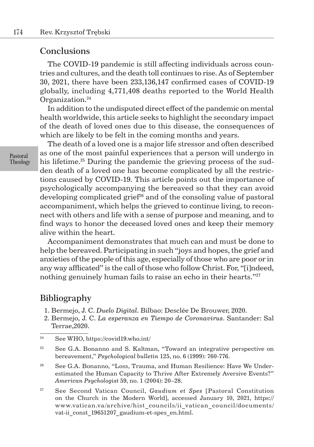#### **Conclusions**

The COVID-19 pandemic is still affecting individuals across countries and cultures, and the death toll continues to rise. As of September 30, 2021, there have been 233,136,147 confirmed cases of COVID-19 globally, including 4,771,408 deaths reported to the World Health Organization.<sup>24</sup>

In addition to the undisputed direct effect of the pandemic on mental health worldwide, this article seeks to highlight the secondary impact of the death of loved ones due to this disease, the consequences of which are likely to be felt in the coming months and years.

The death of a loved one is a major life stressor and often described as one of the most painful experiences that a person will undergo in his lifetime.<sup>25</sup> During the pandemic the grieving process of the sudden death of a loved one has become complicated by all the restrictions caused by COVID-19. This article points out the importance of psychologically accompanying the bereaved so that they can avoid developing complicated grief<sup>26</sup> and of the consoling value of pastoral accompaniment, which helps the grieved to continue living, to reconnect with others and life with a sense of purpose and meaning, and to find ways to honor the deceased loved ones and keep their memory alive within the heart.

Accompaniment demonstrates that much can and must be done to help the bereaved. Participating in such "joys and hopes, the grief and anxieties of the people of this age, especially of those who are poor or in any way afflicated" is the call of those who follow Christ. For, "[i]ndeed, nothing genuinely human fails to raise an echo in their hearts."<sup>27</sup>

## **Bibliography**

- 1. Bermejo, J. C. *Duelo Digital*. Bilbao: Desclée De Brouwer, 2020.
- 2. Bermejo, J. C. *La esperanza en Tiempo de Coronavirus*. Santander: Sal Terrae,2020.

- <sup>26</sup> See G.A. Bonanno, "Loss, Trauma, and Human Resilience: Have We Underestimated the Human Capacity to Thrive After Extremely Aversive Events?" *American Psychologist* 59, no. 1 (2004): 20–28.
- <sup>27</sup> See Second Vatican Council, *Gaudium et Spes* [Pastoral Constitution on the Church in the Modern World], accessed January 10, 2021, https:// www.vatican.va/archive/hist\_councils/ii\_vatican\_council/documents/ vat-ii const 19651207 gaudium-et-spes en.html.

<sup>24</sup> See WHO, https://covid19.who.int/

<sup>&</sup>lt;sup>25</sup> See G.A. Bonanno and S. Kaltman, "Toward an integrative perspective on bereavement," *Psychological bulletin* 125, no. 6 (1999): 760-776.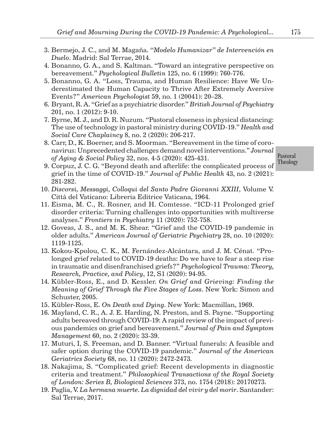- 3. Bermejo, J. C., and M. Magaña. *"Modelo Humanizar" de Intervención en Duelo*. Madrid: Sal Terrae, 2014.
- 4. Bonanno, G. A., and S. Kaltman. "Toward an integrative perspective on bereavement." *Psychological Bulletin* 125, no. 6 (1999): 760-776.
- 5. Bonanno, G. A. "Loss, Trauma, and Human Resilience: Have We Underestimated the Human Capacity to Thrive After Extremely Aversive Events?" *American Psychologist* 59, no. 1 (20041): 20–28.
- 6. Bryant, R. A. "Grief as a psychiatric disorder." *British Journal of Psychiatry* 201, no. 1 (2012): 9-10.
- 7. Byrne, M. J., and D. R. Nuzum. "Pastoral closeness in physical distancing: The use of technology in pastoral ministry during COVID-19." *Health and Social Care Chaplaincy* 8, no. 2 (2020): 206-217.
- 8. Carr, D., K. Boerner, and S. Moorman. "Bereavement in the time of coronavirus: Unprecedented challenges demand novel interventions." *Journal of Aging & Social Policy* 32, nos. 4-5 (2020): 425-431.

- 9. Corpuz, J. C. G. "Beyond death and afterlife: the complicated process of grief in the time of COVID-19." *Journal of Public Health* 43, no. 2 (2021): 281-282.
- 10. *Discorsi, Messaggi, Colloqui del Santo Padre Giovanni XXIII*, Volume V. Città del Vaticano: Libreria Editrice Vaticana, 1964.
- 11. Eisma, M. C., R. Rosner, and H. Comtesse. "ICD-11 Prolonged grief disorder criteria: Turning challenges into opportunities with multiverse analyses." *Frontiers in Psychiatry* 11 (2020): 752-758.
- 12. Goveas, J. S., and M. K. Shear. "Grief and the COVID-19 pandemic in older adults." *American Journal of Geriatric Psychiatry* 28, no. 10 (2020): 1119-1125.
- 13. Kokou-Kpolou, C. K., M. Fernández-Alcántara, and J. M. Cénat. "Prolonged grief related to COVID-19 deaths: Do we have to fear a steep rise in traumatic and disenfranchised griefs?" *Psychological Trauma: Theory, Research, Practice, and Policy*, 12, S1 (2020): 94-95.
- 14. Kübler-Ross, E., and D. Kessler. *On Grief and Grieving: Finding the Meaning of Grief Through the Five Stages of Loss*. New York: Simon and Schuster, 2005.
- 15. Kübler-Ross, E. *On Death and Dying*. New York: Macmillan, 1969.
- 16. Mayland, C. R., A. J. E. Harding, N. Preston, and S. Payne. "Supporting adults bereaved through COVID-19: A rapid review of the impact of previous pandemics on grief and bereavement." *Journal of Pain and Symptom Management* 60, no. 2 (2020): 33-39.
- 17. Muturi, I, S. Freeman, and D. Banner. "Virtual funerals: A feasible and safer option during the COVID-19 pandemic." *Journal of the American Geriatrics Society* 68, no. 11 (2020): 2472-2473.
- 18. Nakajima, S. "Complicated grief: Recent developments in diagnostic criteria and treatment." *Philosophical Transactions of the Royal Society of London: Series B, Biological Sciences* 373, no. 1754 (2018): 20170273.
- 19. Paglia, V. *La hermana muerte. La dignidad del vivir y del morir*. Santander: Sal Terrae, 2017.